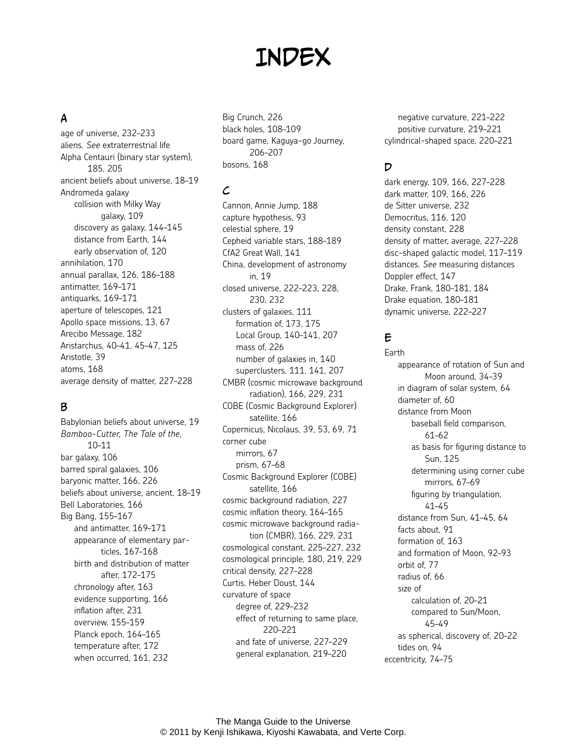# **INDEX**

# A

age of universe, 232–233 aliens. *See* extraterrestrial life Alpha Centauri (binary star system), 185, 205 ancient beliefs about universe, 18–19 Andromeda galaxy collision with Milky Way galaxy, 109 discovery as galaxy, 144–145 distance from Earth, 144 early observation of, 120 annihilation, 170 annual parallax, 126, 186–188 antimatter, 169–171 antiquarks, 169–171 aperture of telescopes, 121 Apollo space missions, 13, 67 Arecibo Message, 182 Aristarchus, 40–41, 45–47, 125 Aristotle, 39 atoms, 168 average density of matter, 227–228

## B

Babylonian beliefs about universe, 19 *Bamboo-Cutter, The Tale of the*, 10–11 bar galaxy, 106 barred spiral galaxies, 106 baryonic matter, 166, 226 beliefs about universe, ancient, 18–19 Bell Laboratories, 166 Big Bang, 155–167 and antimatter, 169–171 appearance of elementary particles, 167–168 birth and distribution of matter after, 172–175 chronology after, 163 evidence supporting, 166 inflation after, 231 overview, 155–159 Planck epoch, 164–165 temperature after, 172 when occurred, 161, 232

Big Crunch, 226 black holes, 108–109 board game, Kaguya-go Journey, 206–207 bosons, 168

## $\mathcal{L}$

Cannon, Annie Jump, 188 capture hypothesis, 93 celestial sphere, 19 Cepheid variable stars, 188–189 CfA2 Great Wall, 141 China, development of astronomy in, 19 closed universe, 222–223, 228, 230, 232 clusters of galaxies, 111 formation of, 173, 175 Local Group, 140–141, 207 mass of, 226 number of galaxies in, 140 superclusters, 111, 141, 207 CMBR (cosmic microwave background radiation), 166, 229, 231 COBE (Cosmic Background Explorer) satellite, 166 Copernicus, Nicolaus, 39, 53, 69, 71 corner cube mirrors, 67 prism, 67–68 Cosmic Background Explorer (COBE) satellite, 166 cosmic background radiation, 227 cosmic inflation theory, 164–165 cosmic microwave background radiation (CMBR), 166, 229, 231 cosmological constant, 225–227, 232 cosmological principle, 180, 219, 229 critical density, 227–228 Curtis, Heber Doust, 144 curvature of space degree of, 229–232 effect of returning to same place, 220–221 and fate of universe, 227–229 general explanation, 219–220

negative curvature, 221–222 positive curvature, 219–221 cylindrical-shaped space, 220–221

## D

dark energy, 109, 166, 227–228 dark matter, 109, 166, 226 de Sitter universe, 232 Democritus, 116, 120 density constant, 228 density of matter, average, 227–228 disc-shaped galactic model, 117–119 distances. *See* measuring distances Doppler effect, 147 Drake, Frank, 180–181, 184 Drake equation, 180–181 dynamic universe, 222–227

# E

Earth appearance of rotation of Sun and Moon around, 34–39 in diagram of solar system, 64 diameter of, 60 distance from Moon baseball field comparison, 61–62 as basis for figuring distance to Sun, 125 determining using corner cube mirrors, 67–69 figuring by triangulation, 41–45 distance from Sun, 41–45, 64 facts about, 91 formation of, 163 and formation of Moon, 92–93 orbit of, 77 radius of, 66 size of calculation of, 20–21 compared to Sun/Moon, 45–49 as spherical, discovery of, 20–22 tides on, 94 eccentricity, 74–75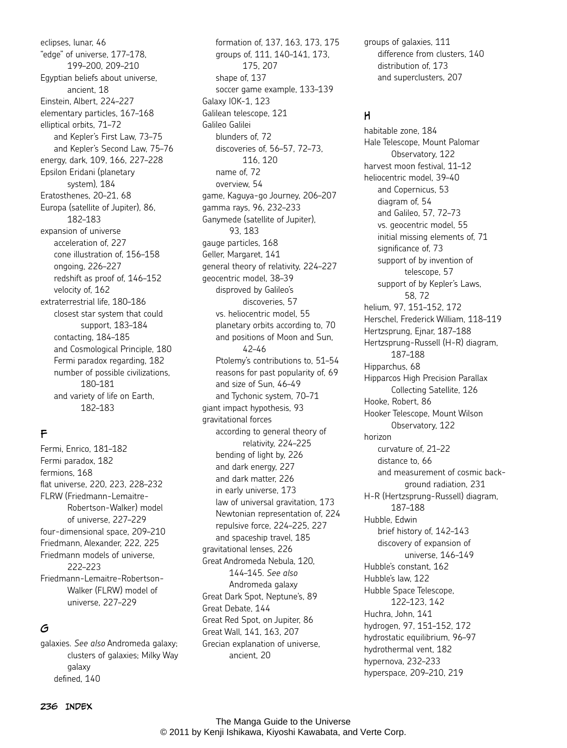eclipses, lunar, 46 "edge" of universe, 177–178, 199–200, 209–210 Egyptian beliefs about universe, ancient, 18 Einstein, Albert, 224–227 elementary particles, 167–168 elliptical orbits, 71–72 and Kepler's First Law, 73–75 and Kepler's Second Law, 75–76 energy, dark, 109, 166, 227–228 Epsilon Eridani (planetary system), 184 Eratosthenes, 20–21, 68 Europa (satellite of Jupiter), 86, 182–183 expansion of universe acceleration of, 227 cone illustration of, 156–158 ongoing, 226–227 redshift as proof of, 146–152 velocity of, 162 extraterrestrial life, 180–186 closest star system that could support, 183–184 contacting, 184–185 and Cosmological Principle, 180 Fermi paradox regarding, 182 number of possible civilizations, 180–181 and variety of life on Earth, 182–183

### F

Fermi, Enrico, 181–182 Fermi paradox, 182 fermions, 168 flat universe, 220, 223, 228–232 FLRW (Friedmann-Lemaitre-Robertson-Walker) model of universe, 227–229 four-dimensional space, 209–210 Friedmann, Alexander, 222, 225 Friedmann models of universe, 222–223 Friedmann-Lemaitre-Robertson-Walker (FLRW) model of universe, 227–229

#### G

galaxies. *See also* Andromeda galaxy; clusters of galaxies; Milky Way galaxy defined, 140

formation of, 137, 163, 173, 175 groups of, 111, 140–141, 173, 175, 207 shape of, 137 soccer game example, 133–139 Galaxy IOK-1, 123 Galilean telescope, 121 Galileo Galilei blunders of, 72 discoveries of, 56–57, 72–73, 116, 120 name of, 72 overview, 54 game, Kaguya-go Journey, 206–207 gamma rays, 96, 232–233 Ganymede (satellite of Jupiter), 93, 183 gauge particles, 168 Geller, Margaret, 141 general theory of relativity, 224–227 geocentric model, 38–39 disproved by Galileo's discoveries, 57 vs. heliocentric model, 55 planetary orbits according to, 70 and positions of Moon and Sun, 42–46 Ptolemy's contributions to, 51–54 reasons for past popularity of, 69 and size of Sun, 46–49 and Tychonic system, 70–71 giant impact hypothesis, 93 gravitational forces according to general theory of relativity, 224–225 bending of light by, 226 and dark energy, 227 and dark matter, 226 in early universe, 173 law of universal gravitation, 173 Newtonian representation of, 224 repulsive force, 224–225, 227 and spaceship travel, 185 gravitational lenses, 226 Great Andromeda Nebula, 120, 144–145. *See also* Andromeda galaxy Great Dark Spot, Neptune's, 89 Great Debate, 144 Great Red Spot, on Jupiter, 86 Great Wall, 141, 163, 207 Grecian explanation of universe, ancient, 20

groups of galaxies, 111 difference from clusters, 140 distribution of, 173 and superclusters, 207

#### H

habitable zone, 184 Hale Telescope, Mount Palomar Observatory, 122 harvest moon festival, 11–12 heliocentric model, 39–40 and Copernicus, 53 diagram of, 54 and Galileo, 57, 72–73 vs. geocentric model, 55 initial missing elements of, 71 significance of, 73 support of by invention of telescope, 57 support of by Kepler's Laws, 58, 72 helium, 97, 151–152, 172 Herschel, Frederick William, 118–119 Hertzsprung, Ejnar, 187–188 Hertzsprung-Russell (H-R) diagram, 187–188 Hipparchus, 68 Hipparcos High Precision Parallax Collecting Satellite, 126 Hooke, Robert, 86 Hooker Telescope, Mount Wilson Observatory, 122 horizon curvature of, 21–22 distance to, 66 and measurement of cosmic background radiation, 231 H-R (Hertzsprung-Russell) diagram, 187–188 Hubble, Edwin brief history of, 142–143 discovery of expansion of universe, 146–149 Hubble's constant, 162 Hubble's law, 122 Hubble Space Telescope, 122–123, 142 Huchra, John, 141 hydrogen, 97, 151–152, 172 hydrostatic equilibrium, 96–97 hydrothermal vent, 182 hypernova, 232–233 hyperspace, 209–210, 219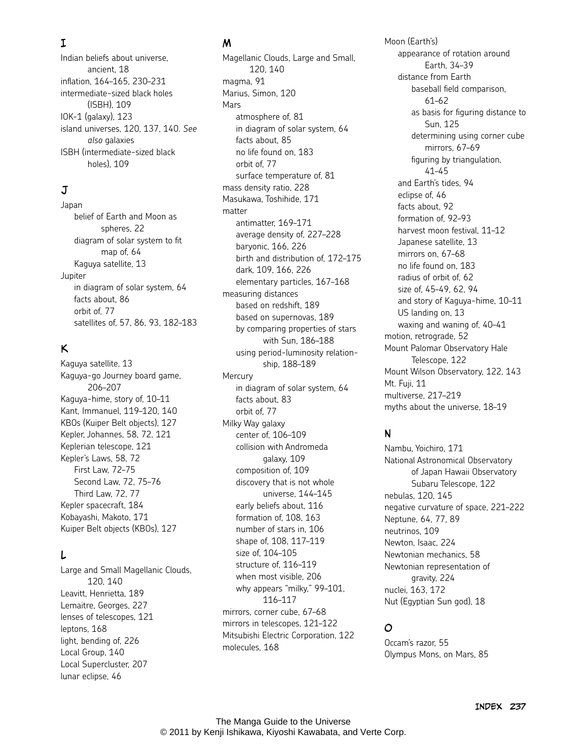# I

Indian beliefs about universe, ancient, 18 inflation, 164–165, 230–231 intermediate-sized black holes (ISBH), 109 IOK-1 (galaxy), 123 island universes, 120, 137, 140. *See also* galaxies ISBH (intermediate-sized black holes), 109

# J

Japan belief of Earth and Moon as spheres, 22 diagram of solar system to fit map of, 64 Kaguya satellite, 13 Jupiter in diagram of solar system, 64 facts about, 86 orbit of, 77 satellites of, 57, 86, 93, 182–183

## K

Kaguya satellite, 13 Kaguya-go Journey board game, 206–207 Kaguya-hime, story of, 10–11 Kant, Immanuel, 119–120, 140 KBOs (Kuiper Belt objects), 127 Kepler, Johannes, 58, 72, 121 Keplerian telescope, 121 Kepler's Laws, 58, 72 First Law, 72–75 Second Law, 72, 75–76 Third Law, 72, 77 Kepler spacecraft, 184 Kobayashi, Makoto, 171 Kuiper Belt objects (KBOs), 127

## L

Large and Small Magellanic Clouds, 120, 140 Leavitt, Henrietta, 189 Lemaitre, Georges, 227 lenses of telescopes, 121 leptons, 168 light, bending of, 226 Local Group, 140 Local Supercluster, 207 lunar eclipse, 46

#### M

Magellanic Clouds, Large and Small, 120, 140 magma, 91 Marius, Simon, 120 Mars atmosphere of, 81 in diagram of solar system, 64 facts about, 85 no life found on, 183 orbit of, 77 surface temperature of, 81 mass density ratio, 228 Masukawa, Toshihide, 171 matter antimatter, 169–171 average density of, 227–228 baryonic, 166, 226 birth and distribution of, 172–175 dark, 109, 166, 226 elementary particles, 167–168 measuring distances based on redshift, 189 based on supernovas, 189 by comparing properties of stars with Sun, 186–188 using period-luminosity relationship, 188–189 Mercury in diagram of solar system, 64 facts about, 83 orbit of, 77 Milky Way galaxy center of, 106–109 collision with Andromeda galaxy, 109 composition of, 109 discovery that is not whole universe, 144–145 early beliefs about, 116 formation of, 108, 163 number of stars in, 106 shape of, 108, 117–119 size of, 104–105 structure of, 116–119 when most visible, 206 why appears "milky," 99–101, 116–117 mirrors, corner cube, 67–68 mirrors in telescopes, 121–122 Mitsubishi Electric Corporation, 122 molecules, 168

Moon (Earth's) appearance of rotation around Earth, 34–39 distance from Earth baseball field comparison, 61–62 as basis for figuring distance to Sun, 125 determining using corner cube mirrors, 67–69 figuring by triangulation, 41–45 and Earth's tides, 94 eclipse of, 46 facts about, 92 formation of, 92–93 harvest moon festival, 11–12 Japanese satellite, 13 mirrors on, 67–68 no life found on, 183 radius of orbit of, 62 size of, 45–49, 62, 94 and story of Kaguya-hime, 10–11 US landing on, 13 waxing and waning of, 40–41 motion, retrograde, 52 Mount Palomar Observatory Hale Telescope, 122 Mount Wilson Observatory, 122, 143 Mt. Fuji, 11 multiverse, 217–219 myths about the universe, 18–19

### N

Nambu, Yoichiro, 171 National Astronomical Observatory of Japan Hawaii Observatory Subaru Telescope, 122 nebulas, 120, 145 negative curvature of space, 221–222 Neptune, 64, 77, 89 neutrinos, 109 Newton, Isaac, 224 Newtonian mechanics, 58 Newtonian representation of gravity, 224 nuclei, 163, 172 Nut (Egyptian Sun god), 18

### O

Occam's razor, 55 Olympus Mons, on Mars, 85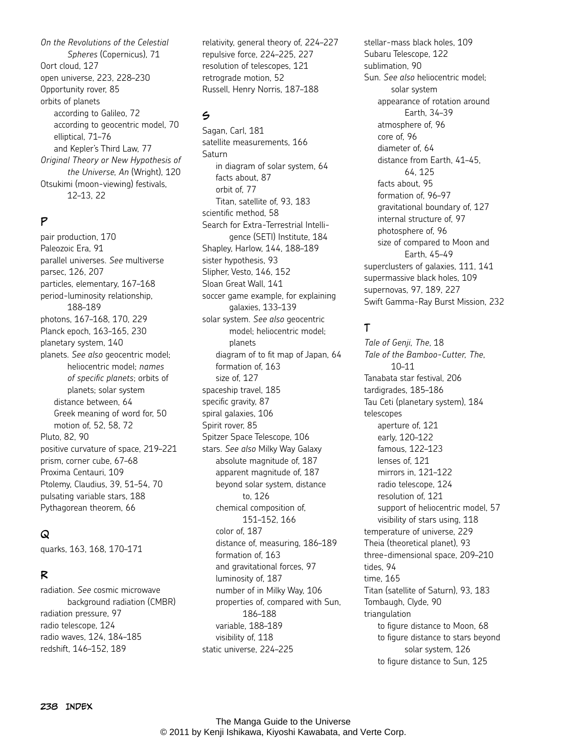*On the Revolutions of the Celestial Spheres* (Copernicus), 71 Oort cloud, 127 open universe, 223, 228–230 Opportunity rover, 85 orbits of planets according to Galileo, 72 according to geocentric model, 70 elliptical, 71–76 and Kepler's Third Law, 77 *Original Theory or New Hypothesis of the Universe, An* (Wright), 120 Otsukimi (moon-viewing) festivals, 12–13, 22

#### P

pair production, 170 Paleozoic Era, 91 parallel universes. *See* multiverse parsec, 126, 207 particles, elementary, 167–168 period-luminosity relationship, 188–189 photons, 167–168, 170, 229 Planck epoch, 163–165, 230 planetary system, 140 planets. *See also* geocentric model; heliocentric model; *names of specific planets*; orbits of planets; solar system distance between, 64 Greek meaning of word for, 50 motion of, 52, 58, 72 Pluto, 82, 90 positive curvature of space, 219–221 prism, corner cube, 67–68 Proxima Centauri, 109 Ptolemy, Claudius, 39, 51–54, 70 pulsating variable stars, 188 Pythagorean theorem, 66

#### Q

quarks, 163, 168, 170–171

#### R

radiation. *See* cosmic microwave background radiation (CMBR) radiation pressure, 97 radio telescope, 124 radio waves, 124, 184–185 redshift, 146–152, 189

relativity, general theory of, 224–227 repulsive force, 224–225, 227 resolution of telescopes, 121 retrograde motion, 52 Russell, Henry Norris, 187–188

## S

Sagan, Carl, 181 satellite measurements, 166 Saturn in diagram of solar system, 64 facts about, 87 orbit of, 77 Titan, satellite of, 93, 183 scientific method, 58 Search for Extra-Terrestrial Intelligence (SETI) Institute, 184 Shapley, Harlow, 144, 188–189 sister hypothesis, 93 Slipher, Vesto, 146, 152 Sloan Great Wall, 141 soccer game example, for explaining galaxies, 133–139 solar system. *See also* geocentric model; heliocentric model; planets diagram of to fit map of Japan, 64 formation of, 163 size of, 127 spaceship travel, 185 specific gravity, 87 spiral galaxies, 106 Spirit rover, 85 Spitzer Space Telescope, 106 stars. *See also* Milky Way Galaxy absolute magnitude of, 187 apparent magnitude of, 187 beyond solar system, distance to, 126 chemical composition of, 151–152, 166 color of, 187 distance of, measuring, 186–189 formation of, 163 and gravitational forces, 97 luminosity of, 187 number of in Milky Way, 106 properties of, compared with Sun, 186–188 variable, 188–189 visibility of, 118 static universe, 224–225

stellar-mass black holes, 109 Subaru Telescope, 122 sublimation, 90 Sun. *See also* heliocentric model; solar system appearance of rotation around Earth, 34–39 atmosphere of, 96 core of, 96 diameter of, 64 distance from Earth, 41–45, 64, 125 facts about, 95 formation of, 96–97 gravitational boundary of, 127 internal structure of, 97 photosphere of, 96 size of compared to Moon and Earth, 45–49 superclusters of galaxies, 111, 141 supermassive black holes, 109 supernovas, 97, 189, 227 Swift Gamma-Ray Burst Mission, 232

## T

*Tale of Genji, The*, 18 *Tale of the Bamboo-Cutter, The*, 10–11 Tanabata star festival, 206 tardigrades, 185–186 Tau Ceti (planetary system), 184 telescopes aperture of, 121 early, 120–122 famous, 122–123 lenses of, 121 mirrors in, 121–122 radio telescope, 124 resolution of, 121 support of heliocentric model, 57 visibility of stars using, 118 temperature of universe, 229 Theia (theoretical planet), 93 three-dimensional space, 209–210 tides, 94 time, 165 Titan (satellite of Saturn), 93, 183 Tombaugh, Clyde, 90 triangulation to figure distance to Moon, 68 to figure distance to stars beyond solar system, 126 to figure distance to Sun, 125